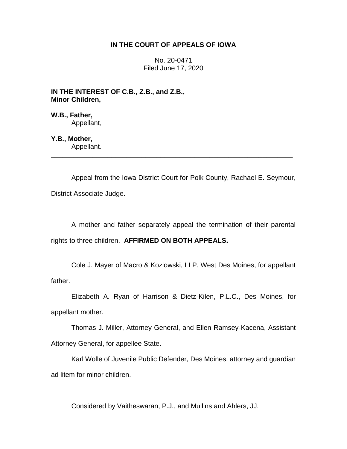# **IN THE COURT OF APPEALS OF IOWA**

No. 20-0471 Filed June 17, 2020

**IN THE INTEREST OF C.B., Z.B., and Z.B., Minor Children,**

**W.B., Father,** Appellant,

**Y.B., Mother,** Appellant.

Appeal from the Iowa District Court for Polk County, Rachael E. Seymour, District Associate Judge.

\_\_\_\_\_\_\_\_\_\_\_\_\_\_\_\_\_\_\_\_\_\_\_\_\_\_\_\_\_\_\_\_\_\_\_\_\_\_\_\_\_\_\_\_\_\_\_\_\_\_\_\_\_\_\_\_\_\_\_\_\_\_\_\_

A mother and father separately appeal the termination of their parental rights to three children. **AFFIRMED ON BOTH APPEALS.**

Cole J. Mayer of Macro & Kozlowski, LLP, West Des Moines, for appellant father.

Elizabeth A. Ryan of Harrison & Dietz-Kilen, P.L.C., Des Moines, for appellant mother.

Thomas J. Miller, Attorney General, and Ellen Ramsey-Kacena, Assistant Attorney General, for appellee State.

Karl Wolle of Juvenile Public Defender, Des Moines, attorney and guardian ad litem for minor children.

Considered by Vaitheswaran, P.J., and Mullins and Ahlers, JJ.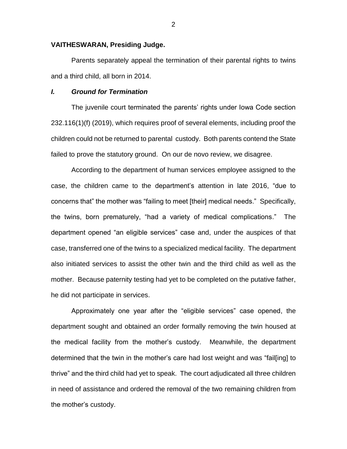### **VAITHESWARAN, Presiding Judge.**

Parents separately appeal the termination of their parental rights to twins and a third child, all born in 2014.

### *I. Ground for Termination*

The juvenile court terminated the parents' rights under Iowa Code section 232.116(1)(f) (2019), which requires proof of several elements, including proof the children could not be returned to parental custody. Both parents contend the State failed to prove the statutory ground. On our de novo review, we disagree.

According to the department of human services employee assigned to the case, the children came to the department's attention in late 2016, "due to concerns that" the mother was "failing to meet [their] medical needs." Specifically, the twins, born prematurely, "had a variety of medical complications." The department opened "an eligible services" case and, under the auspices of that case, transferred one of the twins to a specialized medical facility. The department also initiated services to assist the other twin and the third child as well as the mother. Because paternity testing had yet to be completed on the putative father, he did not participate in services.

Approximately one year after the "eligible services" case opened, the department sought and obtained an order formally removing the twin housed at the medical facility from the mother's custody. Meanwhile, the department determined that the twin in the mother's care had lost weight and was "fail[ing] to thrive" and the third child had yet to speak. The court adjudicated all three children in need of assistance and ordered the removal of the two remaining children from the mother's custody.

2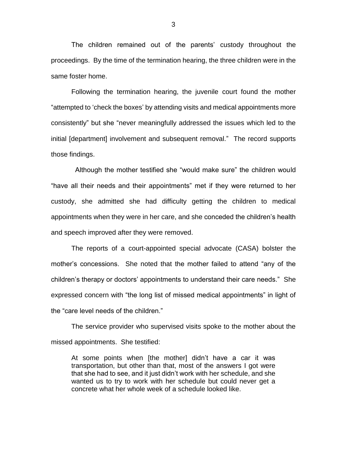The children remained out of the parents' custody throughout the proceedings. By the time of the termination hearing, the three children were in the same foster home.

Following the termination hearing, the juvenile court found the mother "attempted to 'check the boxes' by attending visits and medical appointments more consistently" but she "never meaningfully addressed the issues which led to the initial [department] involvement and subsequent removal." The record supports those findings.

Although the mother testified she "would make sure" the children would "have all their needs and their appointments" met if they were returned to her custody, she admitted she had difficulty getting the children to medical appointments when they were in her care, and she conceded the children's health and speech improved after they were removed.

The reports of a court-appointed special advocate (CASA) bolster the mother's concessions. She noted that the mother failed to attend "any of the children's therapy or doctors' appointments to understand their care needs." She expressed concern with "the long list of missed medical appointments" in light of the "care level needs of the children."

The service provider who supervised visits spoke to the mother about the missed appointments. She testified:

At some points when [the mother] didn't have a car it was transportation, but other than that, most of the answers I got were that she had to see, and it just didn't work with her schedule, and she wanted us to try to work with her schedule but could never get a concrete what her whole week of a schedule looked like.

3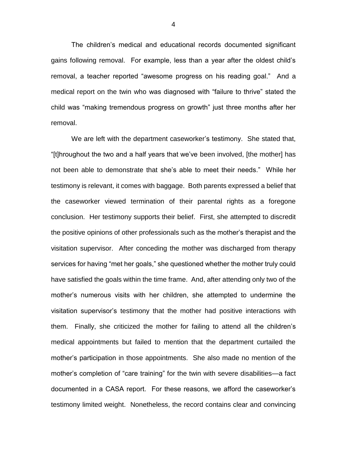The children's medical and educational records documented significant gains following removal. For example, less than a year after the oldest child's removal, a teacher reported "awesome progress on his reading goal." And a medical report on the twin who was diagnosed with "failure to thrive" stated the child was "making tremendous progress on growth" just three months after her removal.

 We are left with the department caseworker's testimony. She stated that, "[t]hroughout the two and a half years that we've been involved, [the mother] has not been able to demonstrate that she's able to meet their needs." While her testimony is relevant, it comes with baggage. Both parents expressed a belief that the caseworker viewed termination of their parental rights as a foregone conclusion. Her testimony supports their belief. First, she attempted to discredit the positive opinions of other professionals such as the mother's therapist and the visitation supervisor. After conceding the mother was discharged from therapy services for having "met her goals," she questioned whether the mother truly could have satisfied the goals within the time frame. And, after attending only two of the mother's numerous visits with her children, she attempted to undermine the visitation supervisor's testimony that the mother had positive interactions with them. Finally, she criticized the mother for failing to attend all the children's medical appointments but failed to mention that the department curtailed the mother's participation in those appointments. She also made no mention of the mother's completion of "care training" for the twin with severe disabilities—a fact documented in a CASA report. For these reasons, we afford the caseworker's testimony limited weight. Nonetheless, the record contains clear and convincing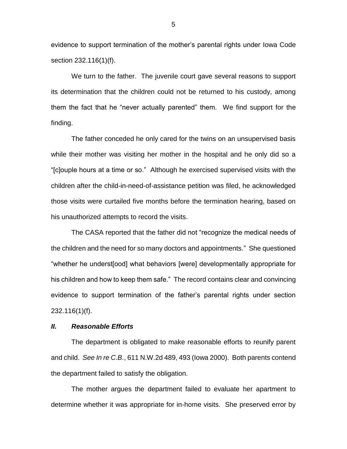evidence to support termination of the mother's parental rights under Iowa Code section 232.116(1)(f).

We turn to the father. The juvenile court gave several reasons to support its determination that the children could not be returned to his custody, among them the fact that he "never actually parented" them. We find support for the finding.

The father conceded he only cared for the twins on an unsupervised basis while their mother was visiting her mother in the hospital and he only did so a "[c]ouple hours at a time or so." Although he exercised supervised visits with the children after the child-in-need-of-assistance petition was filed, he acknowledged those visits were curtailed five months before the termination hearing, based on his unauthorized attempts to record the visits.

The CASA reported that the father did not "recognize the medical needs of the children and the need for so many doctors and appointments." She questioned "whether he underst[ood] what behaviors [were] developmentally appropriate for his children and how to keep them safe." The record contains clear and convincing evidence to support termination of the father's parental rights under section 232.116(1)(f).

# *II. Reasonable Efforts*

The department is obligated to make reasonable efforts to reunify parent and child. *See In re C.B.*, 611 N.W.2d 489, 493 (Iowa 2000). Both parents contend the department failed to satisfy the obligation.

The mother argues the department failed to evaluate her apartment to determine whether it was appropriate for in-home visits. She preserved error by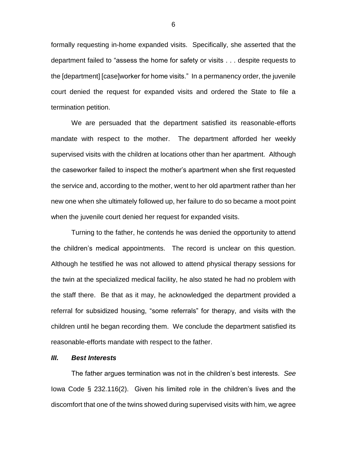formally requesting in-home expanded visits. Specifically, she asserted that the department failed to "assess the home for safety or visits . . . despite requests to the [department] [case]worker for home visits." In a permanency order, the juvenile court denied the request for expanded visits and ordered the State to file a termination petition.

We are persuaded that the department satisfied its reasonable-efforts mandate with respect to the mother. The department afforded her weekly supervised visits with the children at locations other than her apartment. Although the caseworker failed to inspect the mother's apartment when she first requested the service and, according to the mother, went to her old apartment rather than her new one when she ultimately followed up, her failure to do so became a moot point when the juvenile court denied her request for expanded visits.

Turning to the father, he contends he was denied the opportunity to attend the children's medical appointments. The record is unclear on this question. Although he testified he was not allowed to attend physical therapy sessions for the twin at the specialized medical facility, he also stated he had no problem with the staff there. Be that as it may, he acknowledged the department provided a referral for subsidized housing, "some referrals" for therapy, and visits with the children until he began recording them. We conclude the department satisfied its reasonable-efforts mandate with respect to the father.

#### *III. Best Interests*

The father argues termination was not in the children's best interests. *See*  Iowa Code § 232.116(2). Given his limited role in the children's lives and the discomfort that one of the twins showed during supervised visits with him, we agree

6